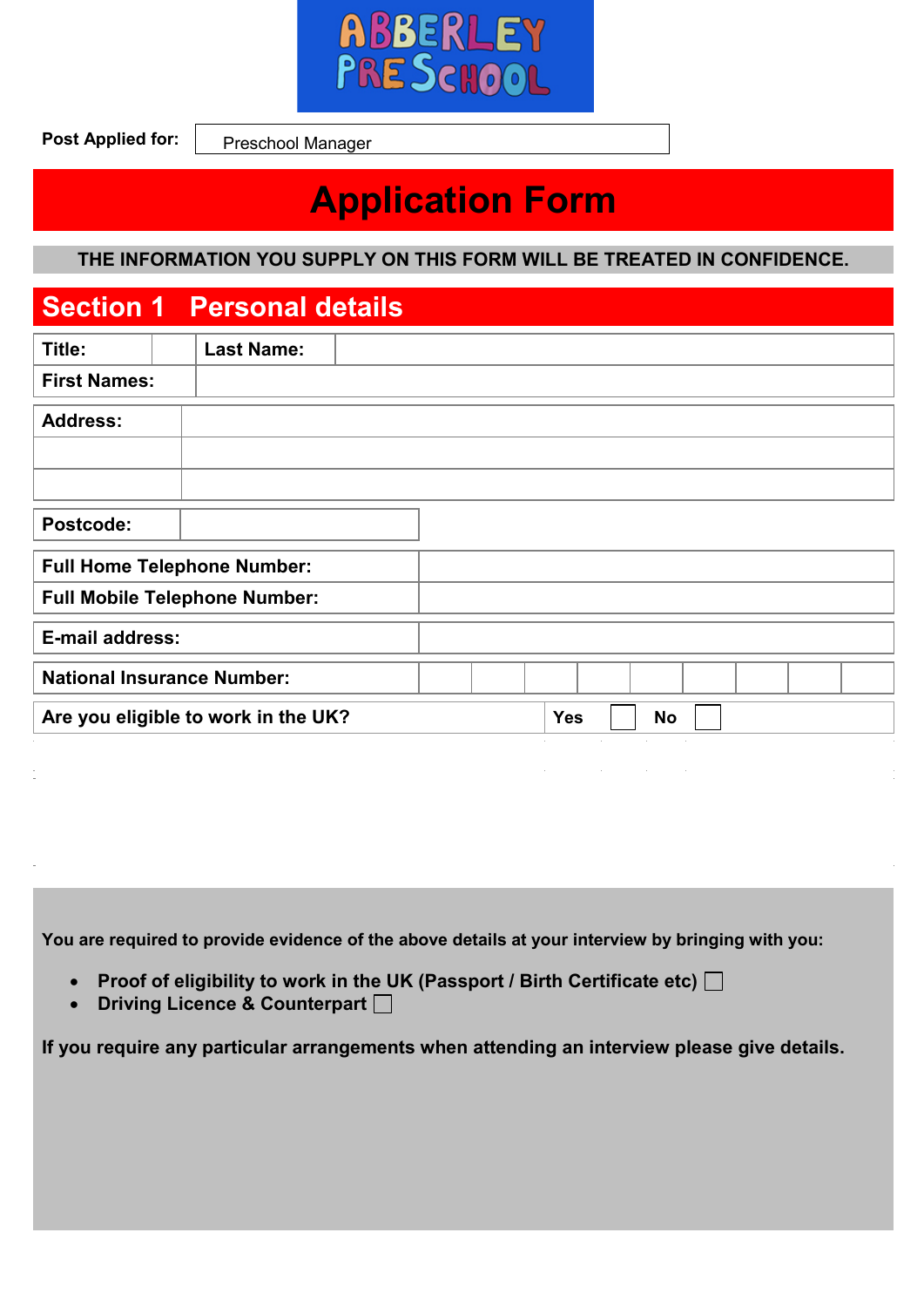

**Post Applied for:**

Preschool Manager

# **Application Form**

**THE INFORMATION YOU SUPPLY ON THIS FORM WILL BE TREATED IN CONFIDENCE.**

#### **Section 1 Personal details**

| Title:                             | <b>Last Name:</b>                    |  |                        |                            |  |  |
|------------------------------------|--------------------------------------|--|------------------------|----------------------------|--|--|
| <b>First Names:</b>                |                                      |  |                        |                            |  |  |
| <b>Address:</b>                    |                                      |  |                        |                            |  |  |
|                                    |                                      |  |                        |                            |  |  |
|                                    |                                      |  |                        |                            |  |  |
| Postcode:                          |                                      |  |                        |                            |  |  |
| <b>Full Home Telephone Number:</b> |                                      |  |                        |                            |  |  |
|                                    | <b>Full Mobile Telephone Number:</b> |  |                        |                            |  |  |
| E-mail address:                    |                                      |  |                        |                            |  |  |
| <b>National Insurance Number:</b>  |                                      |  |                        |                            |  |  |
|                                    | Are you eligible to work in the UK?  |  | <b>Yes</b>             | <b>No</b>                  |  |  |
|                                    |                                      |  | and the company of the | and the state of the state |  |  |
|                                    |                                      |  |                        |                            |  |  |

**You are required to provide evidence of the above details at your interview by bringing with you:**

- Proof of eligibility to work in the UK (Passport / Birth Certificate etc)  $□$
- **•** Driving Licence & Counterpart  $\Box$

**If you require any particular arrangements when attending an interview please give details.**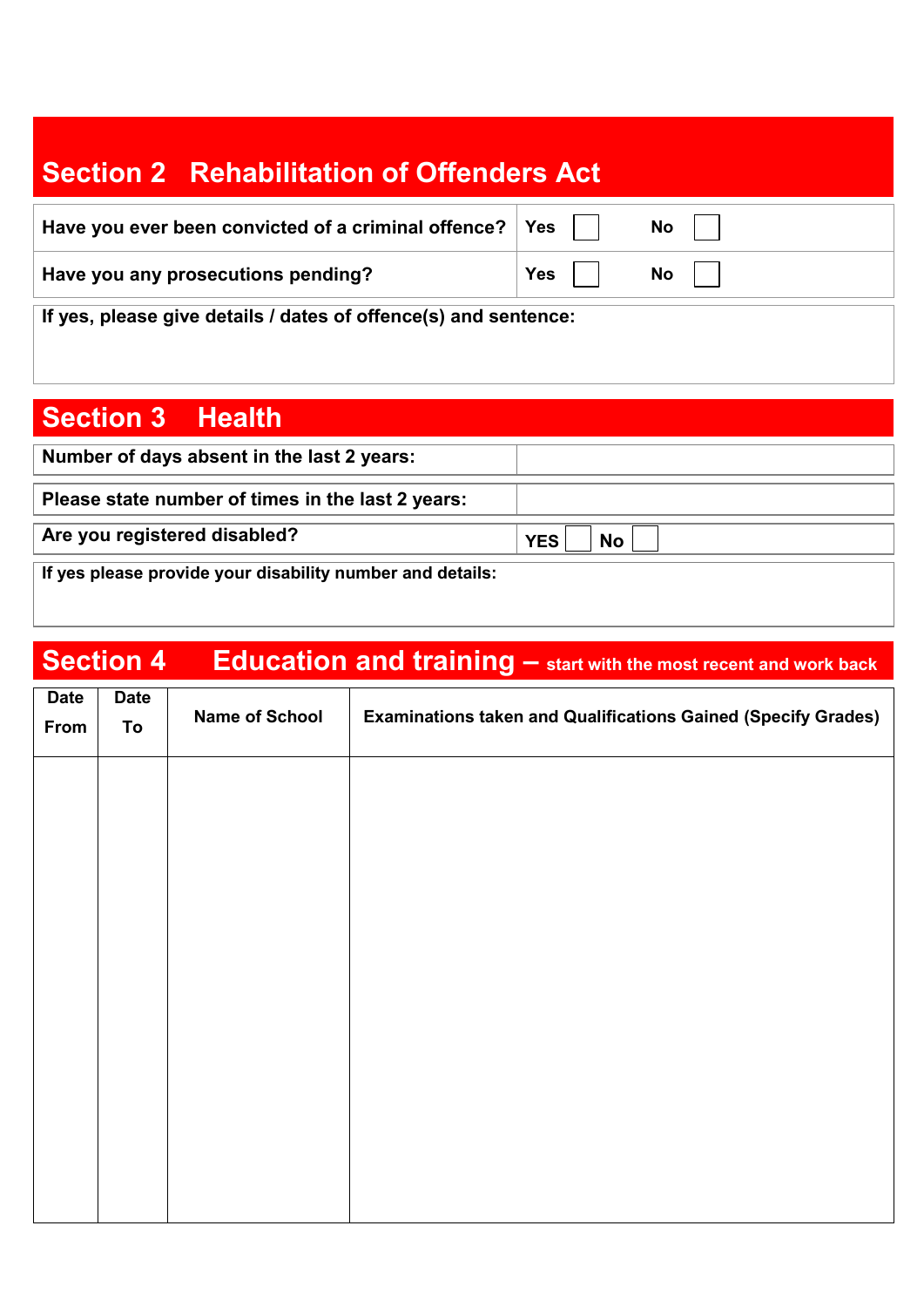## **Section 2 Rehabilitation of Offenders Act**

| Have you ever been convicted of a criminal offence? $\vert$ Yes |         | <b>No</b> |
|-----------------------------------------------------------------|---------|-----------|
| Have you any prosecutions pending?                              | Yes $ $ | No        |
|                                                                 |         |           |
|                                                                 |         |           |

**If yes, please give details / dates of offence(s) and sentence:**

### **Section 3 Health**

| Number of days absent in the last 2 years:                |                         |
|-----------------------------------------------------------|-------------------------|
| Please state number of times in the last 2 years:         |                         |
| Are you registered disabled?                              | <b>No</b><br><b>YES</b> |
| If yes please provide your disability number and details: |                         |

## **Section 4 Education and training – start with the most recent and work back**

| <b>Date</b><br>From | <b>Date</b><br>To | <b>Name of School</b> | <b>Examinations taken and Qualifications Gained (Specify Grades)</b> |
|---------------------|-------------------|-----------------------|----------------------------------------------------------------------|
|                     |                   |                       |                                                                      |
|                     |                   |                       |                                                                      |
|                     |                   |                       |                                                                      |
|                     |                   |                       |                                                                      |
|                     |                   |                       |                                                                      |
|                     |                   |                       |                                                                      |
|                     |                   |                       |                                                                      |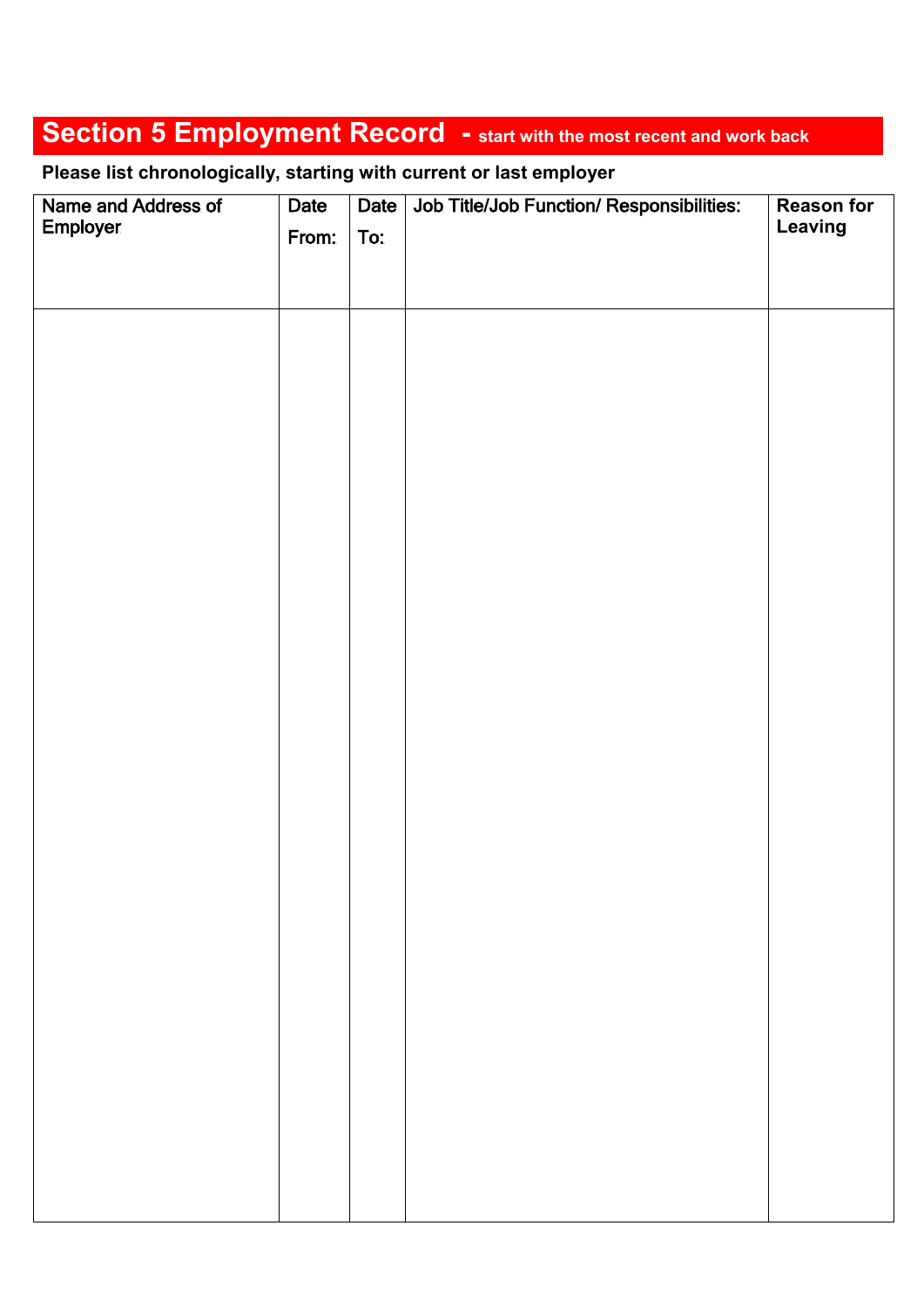## **Section 5 Employment Record - start with the most recent and work back**

**Please list chronologically, starting with current or last employer**

| Name and Address of | Date  | Date | Job Title/Job Function/ Responsibilities: | <b>Reason for</b> |
|---------------------|-------|------|-------------------------------------------|-------------------|
| Employer            | From: | To:  |                                           | Leaving           |
|                     |       |      |                                           |                   |
|                     |       |      |                                           |                   |
|                     |       |      |                                           |                   |
|                     |       |      |                                           |                   |
|                     |       |      |                                           |                   |
|                     |       |      |                                           |                   |
|                     |       |      |                                           |                   |
|                     |       |      |                                           |                   |
|                     |       |      |                                           |                   |
|                     |       |      |                                           |                   |
|                     |       |      |                                           |                   |
|                     |       |      |                                           |                   |
|                     |       |      |                                           |                   |
|                     |       |      |                                           |                   |
|                     |       |      |                                           |                   |
|                     |       |      |                                           |                   |
|                     |       |      |                                           |                   |
|                     |       |      |                                           |                   |
|                     |       |      |                                           |                   |
|                     |       |      |                                           |                   |
|                     |       |      |                                           |                   |
|                     |       |      |                                           |                   |
|                     |       |      |                                           |                   |
|                     |       |      |                                           |                   |
|                     |       |      |                                           |                   |
|                     |       |      |                                           |                   |
|                     |       |      |                                           |                   |
|                     |       |      |                                           |                   |
|                     |       |      |                                           |                   |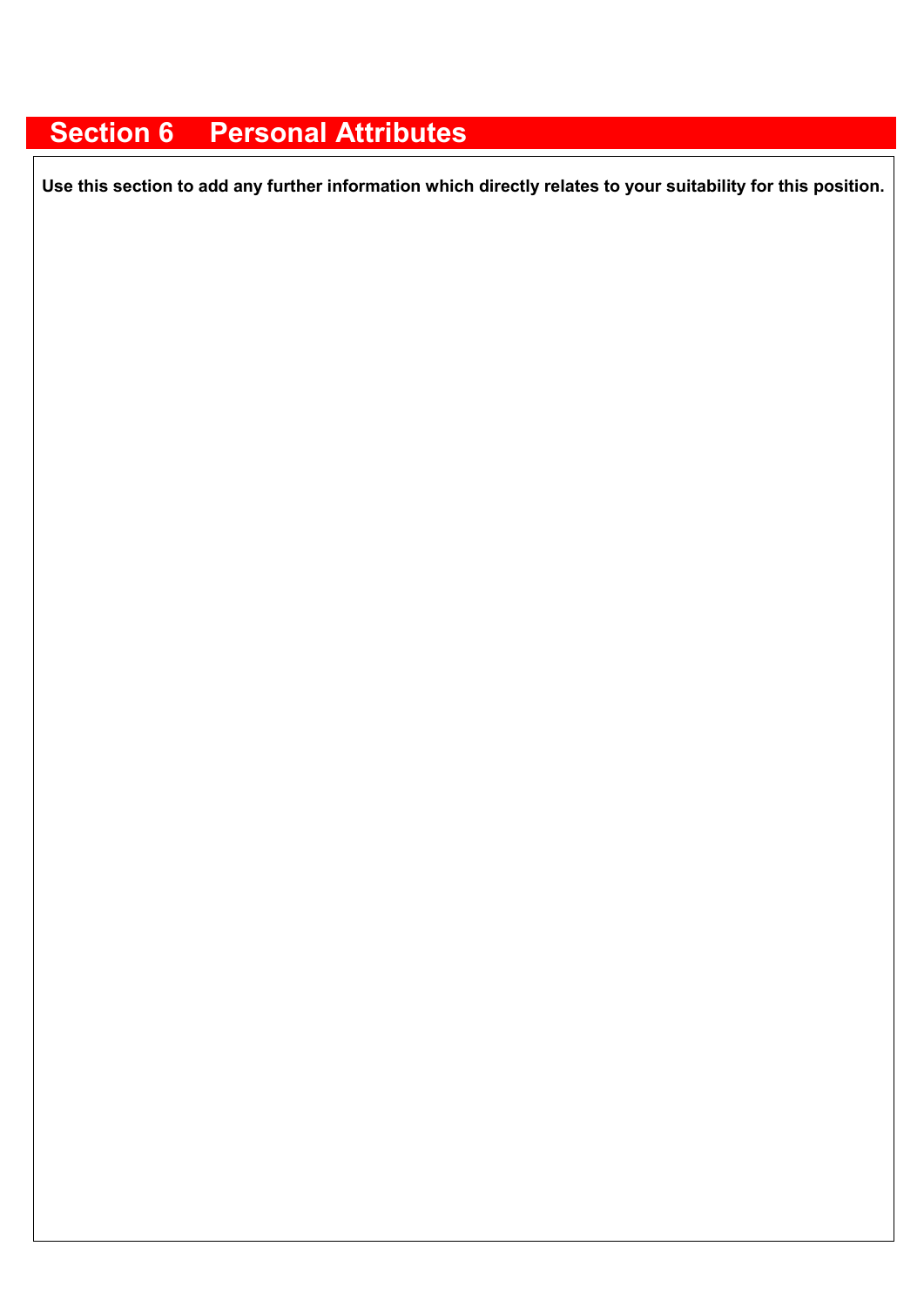### **Section 6 Personal Attributes**

**Use this section to add any further information which directly relates to your suitability for this position.**